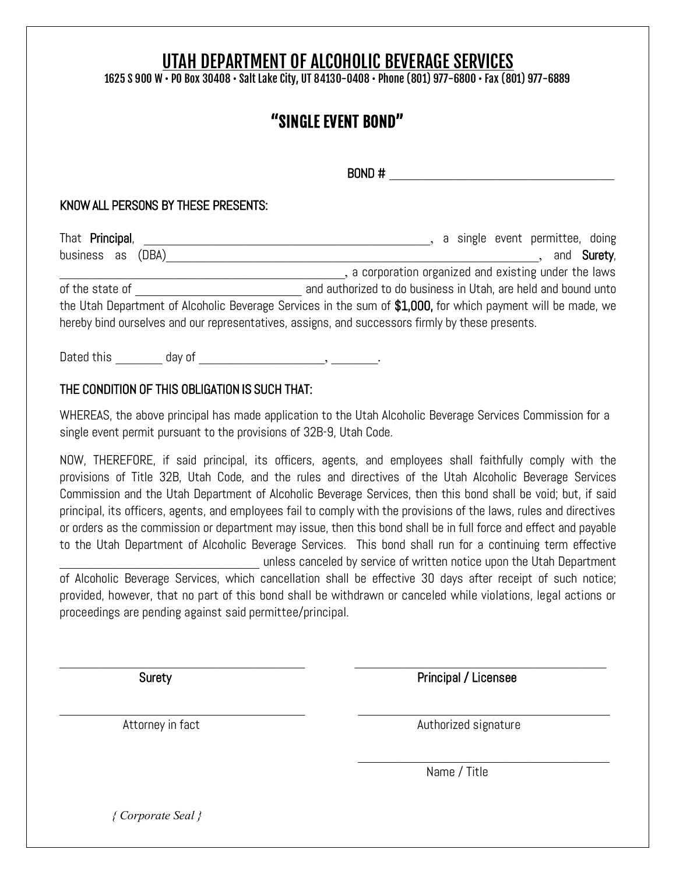# UTAH DEPARTMENT OF ALCOHOLIC BEVERAGE SERVICES

1625 S 900 W • PO Box 30408 • Salt Lake City, UT 84130-0408 • Phone (801) 977-6800 • Fax (801) 977-6889

## "SINGLE EVENT BOND"

 $BOND \#$ 

#### KNOW ALL PERSONS BY THESE PRESENTS:

| That Principal,                                                                                              | a single event permittee, doing                                |
|--------------------------------------------------------------------------------------------------------------|----------------------------------------------------------------|
| business as (DBA)                                                                                            | and <b>Surety</b> ,                                            |
|                                                                                                              | , a corporation organized and existing under the laws          |
| of the state of                                                                                              | and authorized to do business in Utah, are held and bound unto |
| the Utah Department of Alcoholic Beverage Services in the sum of \$1,000, for which payment will be made, we |                                                                |
| hereby bind ourselves and our representatives, assigns, and successors firmly by these presents.             |                                                                |
|                                                                                                              |                                                                |

Dated this day of  $\qquad \qquad \text{d}$ 

### THE CONDITION OF THIS OBLIGATION IS SUCH THAT:

WHEREAS, the above principal has made application to the Utah Alcoholic Beverage Services Commission for a single event permit pursuant to the provisions of 32B-9, Utah Code.

NOW, THEREFORE, if said principal, its officers, agents, and employees shall faithfully comply with the provisions of Title 32B, Utah Code, and the rules and directives of the Utah Alcoholic Beverage Services Commission and the Utah Department of Alcoholic Beverage Services, then this bond shall be void; but, if said principal, its officers, agents, and employees fail to comply with the provisions of the laws, rules and directives or orders as the commission or department may issue, then this bond shall be in full force and effect and payable to the Utah Department of Alcoholic Beverage Services. This bond shall run for a continuing term effective unless canceled by service of written notice upon the Utah Department of Alcoholic Beverage Services, which cancellation shall be effective 30 days after receipt of such notice; provided, however, that no part of this bond shall be withdrawn or canceled while violations, legal actions or

\_\_\_\_\_\_\_\_\_\_\_\_\_\_\_\_\_\_\_\_\_\_\_\_\_\_\_\_\_\_\_\_\_\_\_\_\_ \_\_\_\_\_\_\_\_\_\_\_\_\_\_\_\_\_\_\_\_\_\_\_\_\_\_\_\_\_\_\_\_\_\_\_\_\_\_

\_\_\_\_\_\_\_\_\_\_\_\_\_\_\_\_\_\_\_\_\_\_\_\_\_\_\_\_\_\_\_\_\_\_\_\_\_ \_\_\_\_\_\_\_\_\_\_\_\_\_\_\_\_\_\_\_\_\_\_\_\_\_\_\_\_\_\_\_\_\_\_\_\_\_\_

proceedings are pending against said permittee/principal.

Surety **Principal / Licensee** 

Attorney in fact **Authorized** signature

 $\overline{\mathcal{L}}$  , and the set of the set of the set of the set of the set of the set of the set of the set of the set of the set of the set of the set of the set of the set of the set of the set of the set of the set of the s

Name / Title

 *{ Corporate Seal }*